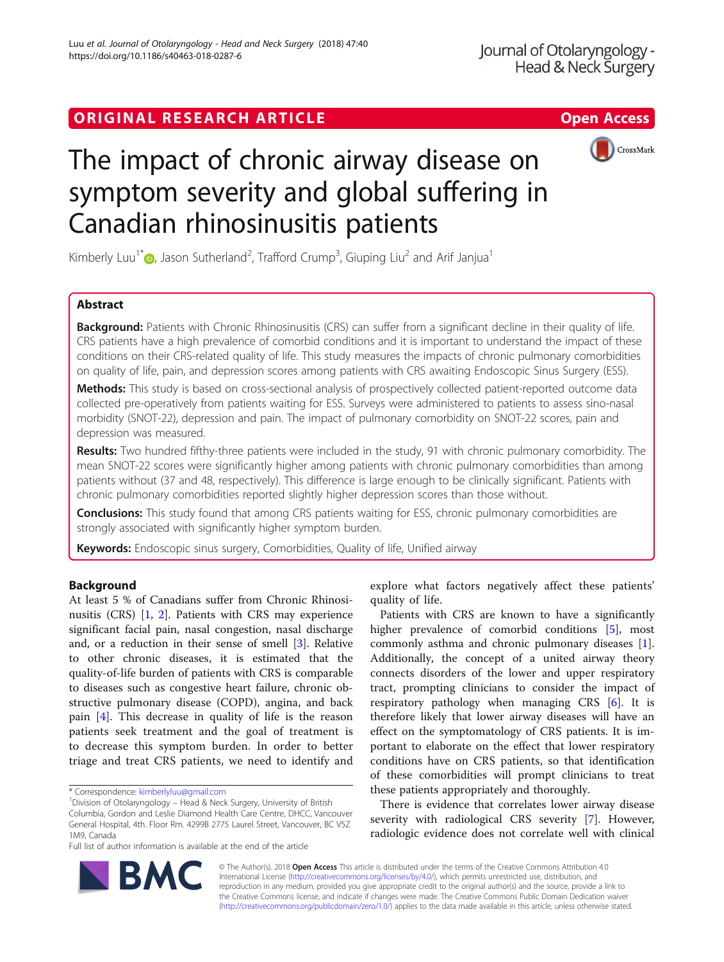## ORIGINAL RESEARCH ARTICLE **External of the Contract Contract Contract Contract Contract Contract Contract Contract Contract Contract Contract Contract Contract Contract Contract Contract Contract Contract Contract Contract**



# The impact of chronic airway disease on symptom severity and global suffering in Canadian rhinosinusitis patients

Kimberly Luu<sup>1[\\*](http://orcid.org/0000-0003-2162-7251)</sup> , Jason Sutherland<sup>2</sup>, Trafford Crump<sup>3</sup>, Giuping Liu<sup>2</sup> and Arif Janjua<sup>1</sup>

## Abstract

Background: Patients with Chronic Rhinosinusitis (CRS) can suffer from a significant decline in their quality of life. CRS patients have a high prevalence of comorbid conditions and it is important to understand the impact of these conditions on their CRS-related quality of life. This study measures the impacts of chronic pulmonary comorbidities on quality of life, pain, and depression scores among patients with CRS awaiting Endoscopic Sinus Surgery (ESS).

Methods: This study is based on cross-sectional analysis of prospectively collected patient-reported outcome data collected pre-operatively from patients waiting for ESS. Surveys were administered to patients to assess sino-nasal morbidity (SNOT-22), depression and pain. The impact of pulmonary comorbidity on SNOT-22 scores, pain and depression was measured.

Results: Two hundred fifthy-three patients were included in the study, 91 with chronic pulmonary comorbidity. The mean SNOT-22 scores were significantly higher among patients with chronic pulmonary comorbidities than among patients without (37 and 48, respectively). This difference is large enough to be clinically significant. Patients with chronic pulmonary comorbidities reported slightly higher depression scores than those without.

Conclusions: This study found that among CRS patients waiting for ESS, chronic pulmonary comorbidities are strongly associated with significantly higher symptom burden.

Keywords: Endoscopic sinus surgery, Comorbidities, Quality of life, Unified airway

## Background

At least 5 % of Canadians suffer from Chronic Rhinosinusitis (CRS) [\[1,](#page-4-0) [2](#page-4-0)]. Patients with CRS may experience significant facial pain, nasal congestion, nasal discharge and, or a reduction in their sense of smell [\[3](#page-4-0)]. Relative to other chronic diseases, it is estimated that the quality-of-life burden of patients with CRS is comparable to diseases such as congestive heart failure, chronic obstructive pulmonary disease (COPD), angina, and back pain [\[4](#page-4-0)]. This decrease in quality of life is the reason patients seek treatment and the goal of treatment is to decrease this symptom burden. In order to better triage and treat CRS patients, we need to identify and

Full list of author information is available at the end of the article



Patients with CRS are known to have a significantly higher prevalence of comorbid conditions [\[5](#page-4-0)], most commonly asthma and chronic pulmonary diseases [\[1](#page-4-0)]. Additionally, the concept of a united airway theory connects disorders of the lower and upper respiratory tract, prompting clinicians to consider the impact of respiratory pathology when managing CRS [[6\]](#page-4-0). It is therefore likely that lower airway diseases will have an effect on the symptomatology of CRS patients. It is important to elaborate on the effect that lower respiratory conditions have on CRS patients, so that identification of these comorbidities will prompt clinicians to treat these patients appropriately and thoroughly.

There is evidence that correlates lower airway disease severity with radiological CRS severity [\[7\]](#page-4-0). However, radiologic evidence does not correlate well with clinical



© The Author(s). 2018 Open Access This article is distributed under the terms of the Creative Commons Attribution 4.0 International License [\(http://creativecommons.org/licenses/by/4.0/](http://creativecommons.org/licenses/by/4.0/)), which permits unrestricted use, distribution, and reproduction in any medium, provided you give appropriate credit to the original author(s) and the source, provide a link to the Creative Commons license, and indicate if changes were made. The Creative Commons Public Domain Dedication waiver [\(http://creativecommons.org/publicdomain/zero/1.0/](http://creativecommons.org/publicdomain/zero/1.0/)) applies to the data made available in this article, unless otherwise stated.

<sup>\*</sup> Correspondence: [kimberlyluu@gmail.com](mailto:kimberlyluu@gmail.com) <sup>1</sup>

<sup>&</sup>lt;sup>1</sup> Division of Otolaryngology – Head & Neck Surgery, University of British

Columbia, Gordon and Leslie Diamond Health Care Centre, DHCC, Vancouver General Hospital, 4th. Floor Rm. 4299B 2775 Laurel Street, Vancouver, BC V5Z 1M9, Canada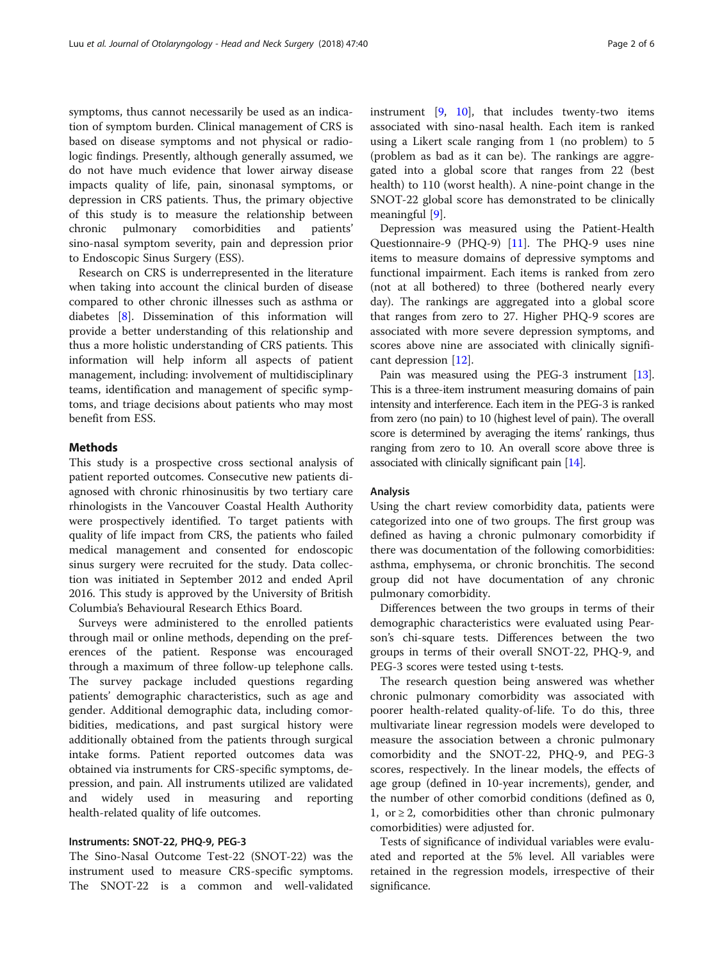symptoms, thus cannot necessarily be used as an indication of symptom burden. Clinical management of CRS is based on disease symptoms and not physical or radiologic findings. Presently, although generally assumed, we do not have much evidence that lower airway disease impacts quality of life, pain, sinonasal symptoms, or depression in CRS patients. Thus, the primary objective of this study is to measure the relationship between chronic pulmonary comorbidities and patients' sino-nasal symptom severity, pain and depression prior to Endoscopic Sinus Surgery (ESS).

Research on CRS is underrepresented in the literature when taking into account the clinical burden of disease compared to other chronic illnesses such as asthma or diabetes [\[8\]](#page-4-0). Dissemination of this information will provide a better understanding of this relationship and thus a more holistic understanding of CRS patients. This information will help inform all aspects of patient management, including: involvement of multidisciplinary teams, identification and management of specific symptoms, and triage decisions about patients who may most benefit from ESS.

## **Methods**

This study is a prospective cross sectional analysis of patient reported outcomes. Consecutive new patients diagnosed with chronic rhinosinusitis by two tertiary care rhinologists in the Vancouver Coastal Health Authority were prospectively identified. To target patients with quality of life impact from CRS, the patients who failed medical management and consented for endoscopic sinus surgery were recruited for the study. Data collection was initiated in September 2012 and ended April 2016. This study is approved by the University of British Columbia's Behavioural Research Ethics Board.

Surveys were administered to the enrolled patients through mail or online methods, depending on the preferences of the patient. Response was encouraged through a maximum of three follow-up telephone calls. The survey package included questions regarding patients' demographic characteristics, such as age and gender. Additional demographic data, including comorbidities, medications, and past surgical history were additionally obtained from the patients through surgical intake forms. Patient reported outcomes data was obtained via instruments for CRS-specific symptoms, depression, and pain. All instruments utilized are validated and widely used in measuring and reporting health-related quality of life outcomes.

## Instruments: SNOT-22, PHQ-9, PEG-3

The Sino-Nasal Outcome Test-22 (SNOT-22) was the instrument used to measure CRS-specific symptoms. The SNOT-22 is a common and well-validated instrument [[9](#page-4-0), [10](#page-4-0)], that includes twenty-two items associated with sino-nasal health. Each item is ranked using a Likert scale ranging from 1 (no problem) to 5 (problem as bad as it can be). The rankings are aggregated into a global score that ranges from 22 (best health) to 110 (worst health). A nine-point change in the SNOT-22 global score has demonstrated to be clinically meaningful [[9\]](#page-4-0).

Depression was measured using the Patient-Health Questionnaire-9 (PHQ-9) [[11\]](#page-4-0). The PHQ-9 uses nine items to measure domains of depressive symptoms and functional impairment. Each items is ranked from zero (not at all bothered) to three (bothered nearly every day). The rankings are aggregated into a global score that ranges from zero to 27. Higher PHQ-9 scores are associated with more severe depression symptoms, and scores above nine are associated with clinically significant depression [[12\]](#page-4-0).

Pain was measured using the PEG-3 instrument [\[13](#page-4-0)]. This is a three-item instrument measuring domains of pain intensity and interference. Each item in the PEG-3 is ranked from zero (no pain) to 10 (highest level of pain). The overall score is determined by averaging the items' rankings, thus ranging from zero to 10. An overall score above three is associated with clinically significant pain [[14\]](#page-4-0).

#### Analysis

Using the chart review comorbidity data, patients were categorized into one of two groups. The first group was defined as having a chronic pulmonary comorbidity if there was documentation of the following comorbidities: asthma, emphysema, or chronic bronchitis. The second group did not have documentation of any chronic pulmonary comorbidity.

Differences between the two groups in terms of their demographic characteristics were evaluated using Pearson's chi-square tests. Differences between the two groups in terms of their overall SNOT-22, PHQ-9, and PEG-3 scores were tested using t-tests.

The research question being answered was whether chronic pulmonary comorbidity was associated with poorer health-related quality-of-life. To do this, three multivariate linear regression models were developed to measure the association between a chronic pulmonary comorbidity and the SNOT-22, PHQ-9, and PEG-3 scores, respectively. In the linear models, the effects of age group (defined in 10-year increments), gender, and the number of other comorbid conditions (defined as 0, 1, or  $\geq$  2, comorbidities other than chronic pulmonary comorbidities) were adjusted for.

Tests of significance of individual variables were evaluated and reported at the 5% level. All variables were retained in the regression models, irrespective of their significance.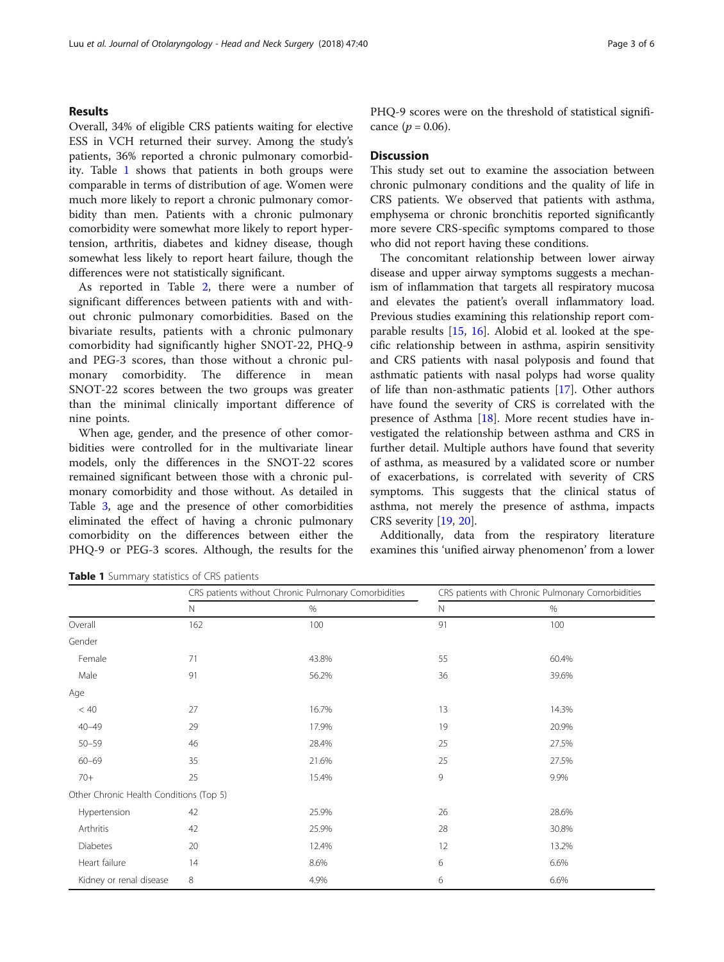## Results

Overall, 34% of eligible CRS patients waiting for elective ESS in VCH returned their survey. Among the study's patients, 36% reported a chronic pulmonary comorbidity. Table 1 shows that patients in both groups were comparable in terms of distribution of age. Women were much more likely to report a chronic pulmonary comorbidity than men. Patients with a chronic pulmonary comorbidity were somewhat more likely to report hypertension, arthritis, diabetes and kidney disease, though somewhat less likely to report heart failure, though the differences were not statistically significant.

As reported in Table [2](#page-3-0), there were a number of significant differences between patients with and without chronic pulmonary comorbidities. Based on the bivariate results, patients with a chronic pulmonary comorbidity had significantly higher SNOT-22, PHQ-9 and PEG-3 scores, than those without a chronic pulmonary comorbidity. The difference in mean SNOT-22 scores between the two groups was greater than the minimal clinically important difference of nine points.

When age, gender, and the presence of other comorbidities were controlled for in the multivariate linear models, only the differences in the SNOT-22 scores remained significant between those with a chronic pulmonary comorbidity and those without. As detailed in Table [3,](#page-3-0) age and the presence of other comorbidities eliminated the effect of having a chronic pulmonary comorbidity on the differences between either the PHQ-9 or PEG-3 scores. Although, the results for the PHQ-9 scores were on the threshold of statistical significance  $(p = 0.06)$ .

#### **Discussion**

This study set out to examine the association between chronic pulmonary conditions and the quality of life in CRS patients. We observed that patients with asthma, emphysema or chronic bronchitis reported significantly more severe CRS-specific symptoms compared to those who did not report having these conditions.

The concomitant relationship between lower airway disease and upper airway symptoms suggests a mechanism of inflammation that targets all respiratory mucosa and elevates the patient's overall inflammatory load. Previous studies examining this relationship report comparable results [\[15,](#page-4-0) [16\]](#page-4-0). Alobid et al. looked at the specific relationship between in asthma, aspirin sensitivity and CRS patients with nasal polyposis and found that asthmatic patients with nasal polyps had worse quality of life than non-asthmatic patients [[17](#page-4-0)]. Other authors have found the severity of CRS is correlated with the presence of Asthma [\[18\]](#page-4-0). More recent studies have investigated the relationship between asthma and CRS in further detail. Multiple authors have found that severity of asthma, as measured by a validated score or number of exacerbations, is correlated with severity of CRS symptoms. This suggests that the clinical status of asthma, not merely the presence of asthma, impacts CRS severity [[19](#page-4-0), [20](#page-4-0)].

Additionally, data from the respiratory literature examines this 'unified airway phenomenon' from a lower

|                                         | $\mathsf{N}$ | $\%$  | $\mathbb N$ | $\%$  |  |
|-----------------------------------------|--------------|-------|-------------|-------|--|
| Overall                                 | 162          | 100   | 91          | 100   |  |
| Gender                                  |              |       |             |       |  |
| Female                                  | 71           | 43.8% | 55          | 60.4% |  |
| Male                                    | 91           | 56.2% | 36          | 39.6% |  |
| Age                                     |              |       |             |       |  |
| < 40                                    | 27           | 16.7% | 13          | 14.3% |  |
| $40 - 49$                               | 29           | 17.9% | 19          | 20.9% |  |
| $50 - 59$                               | 46           | 28.4% | 25          | 27.5% |  |
| $60 - 69$                               | 35           | 21.6% | 25          | 27.5% |  |
| $70+$                                   | 25           | 15.4% | 9           | 9.9%  |  |
| Other Chronic Health Conditions (Top 5) |              |       |             |       |  |
| Hypertension                            | 42           | 25.9% | 26          | 28.6% |  |
| Arthritis                               | 42           | 25.9% | 28          | 30.8% |  |
| <b>Diabetes</b>                         | 20           | 12.4% | 12          | 13.2% |  |

Heart failure  $14$  and  $8.6\%$  6.6% 6.6% 6.6% Kidney or renal disease 8 6.6% 6 6.6% 6 6.6% 6 6.6% 6 6.6% 6 6.6% 6 6.6% 6 6.6% 6 6.6% 6 6.6% 6 6.6% 6 6.6% 6 6.6% 6 6.6% 6 6.6% 6 6.6% 6 6.6% 6 6.6% 6 6.6% 6 6.6% 6 6.7 cm disease 6 6.6% 6 6.7 cm disease 6 6.6% 6 6.7 cm d

CRS patients without Chronic Pulmonary Comorbidities CRS patients with Chronic Pulmonary Comorbidities

Table 1 Summary statistics of CRS patients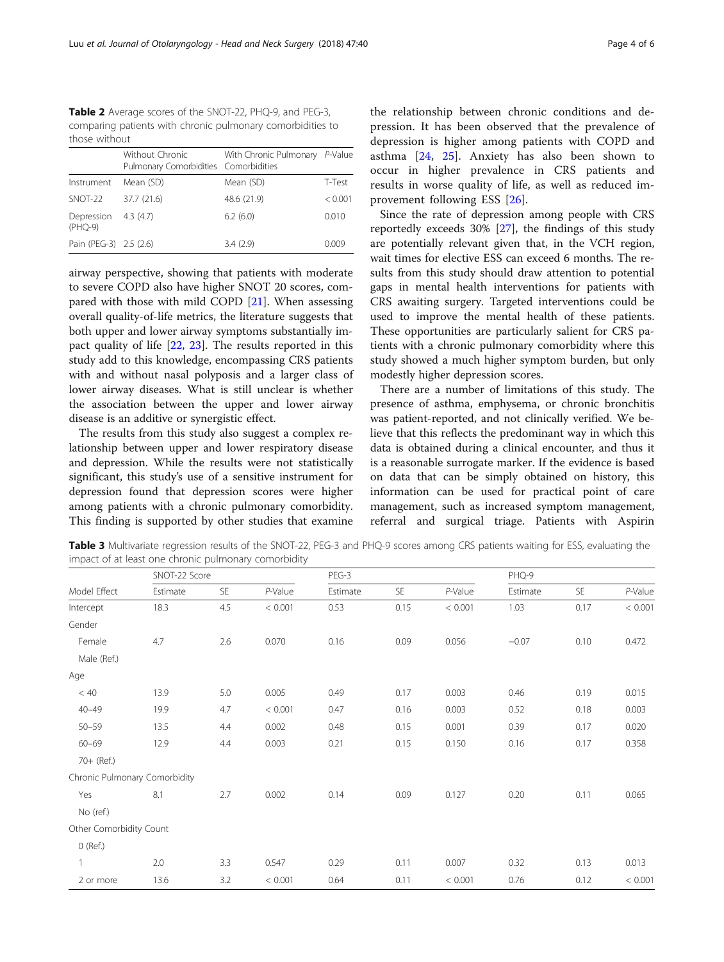<span id="page-3-0"></span>Table 2 Average scores of the SNOT-22, PHQ-9, and PEG-3, comparing patients with chronic pulmonary comorbidities to those without

|                         | Without Chronic<br>Pulmonary Comorbidities Comorbidities | With Chronic Pulmonary P-Value |         |
|-------------------------|----------------------------------------------------------|--------------------------------|---------|
| Instrument              | Mean (SD)                                                | Mean (SD)                      | T-Test  |
| SNOT-22                 | 37.7 (21.6)                                              | 48.6 (21.9)                    | < 0.001 |
| Depression<br>$(PHQ-9)$ | 4.3(4.7)                                                 | 6.2(6.0)                       | 0.010   |
| Pain (PEG-3) 2.5 (2.6)  |                                                          | 3.4(2.9)                       | 0.009   |

airway perspective, showing that patients with moderate to severe COPD also have higher SNOT 20 scores, compared with those with mild COPD [[21\]](#page-4-0). When assessing overall quality-of-life metrics, the literature suggests that both upper and lower airway symptoms substantially impact quality of life [\[22,](#page-5-0) [23\]](#page-5-0). The results reported in this study add to this knowledge, encompassing CRS patients with and without nasal polyposis and a larger class of lower airway diseases. What is still unclear is whether the association between the upper and lower airway disease is an additive or synergistic effect.

The results from this study also suggest a complex relationship between upper and lower respiratory disease and depression. While the results were not statistically significant, this study's use of a sensitive instrument for depression found that depression scores were higher among patients with a chronic pulmonary comorbidity. This finding is supported by other studies that examine

the relationship between chronic conditions and depression. It has been observed that the prevalence of depression is higher among patients with COPD and asthma [[24,](#page-5-0) [25](#page-5-0)]. Anxiety has also been shown to occur in higher prevalence in CRS patients and results in worse quality of life, as well as reduced improvement following ESS [\[26](#page-5-0)].

Since the rate of depression among people with CRS reportedly exceeds 30% [\[27\]](#page-5-0), the findings of this study are potentially relevant given that, in the VCH region, wait times for elective ESS can exceed 6 months. The results from this study should draw attention to potential gaps in mental health interventions for patients with CRS awaiting surgery. Targeted interventions could be used to improve the mental health of these patients. These opportunities are particularly salient for CRS patients with a chronic pulmonary comorbidity where this study showed a much higher symptom burden, but only modestly higher depression scores.

There are a number of limitations of this study. The presence of asthma, emphysema, or chronic bronchitis was patient-reported, and not clinically verified. We believe that this reflects the predominant way in which this data is obtained during a clinical encounter, and thus it is a reasonable surrogate marker. If the evidence is based on data that can be simply obtained on history, this information can be used for practical point of care management, such as increased symptom management, referral and surgical triage. Patients with Aspirin

Table 3 Multivariate regression results of the SNOT-22, PEG-3 and PHQ-9 scores among CRS patients waiting for ESS, evaluating the impact of at least one chronic pulmonary comorbidity

| Model Effect            | SNOT-22 Score                 |           |           | PEG-3    |           |            | PHQ-9    |           |         |
|-------------------------|-------------------------------|-----------|-----------|----------|-----------|------------|----------|-----------|---------|
|                         | Estimate                      | <b>SE</b> | $P-Value$ | Estimate | <b>SE</b> | $P$ -Value | Estimate | <b>SE</b> | P-Value |
| Intercept               | 18.3                          | 4.5       | < 0.001   | 0.53     | 0.15      | < 0.001    | 1.03     | 0.17      | < 0.001 |
| Gender                  |                               |           |           |          |           |            |          |           |         |
| Female                  | 4.7                           | 2.6       | 0.070     | 0.16     | 0.09      | 0.056      | $-0.07$  | 0.10      | 0.472   |
| Male (Ref.)             |                               |           |           |          |           |            |          |           |         |
| Age                     |                               |           |           |          |           |            |          |           |         |
| < 40                    | 13.9                          | 5.0       | 0.005     | 0.49     | 0.17      | 0.003      | 0.46     | 0.19      | 0.015   |
| $40 - 49$               | 19.9                          | 4.7       | < 0.001   | 0.47     | 0.16      | 0.003      | 0.52     | 0.18      | 0.003   |
| $50 - 59$               | 13.5                          | 4.4       | 0.002     | 0.48     | 0.15      | 0.001      | 0.39     | 0.17      | 0.020   |
| $60 - 69$               | 12.9                          | 4.4       | 0.003     | 0.21     | 0.15      | 0.150      | 0.16     | 0.17      | 0.358   |
| 70+ (Ref.)              |                               |           |           |          |           |            |          |           |         |
|                         | Chronic Pulmonary Comorbidity |           |           |          |           |            |          |           |         |
| Yes                     | 8.1                           | 2.7       | 0.002     | 0.14     | 0.09      | 0.127      | 0.20     | 0.11      | 0.065   |
| No (ref.)               |                               |           |           |          |           |            |          |           |         |
| Other Comorbidity Count |                               |           |           |          |           |            |          |           |         |
| $O$ (Ref.)              |                               |           |           |          |           |            |          |           |         |
|                         | 2.0                           | 3.3       | 0.547     | 0.29     | 0.11      | 0.007      | 0.32     | 0.13      | 0.013   |
| 2 or more               | 13.6                          | 3.2       | < 0.001   | 0.64     | 0.11      | < 0.001    | 0.76     | 0.12      | < 0.001 |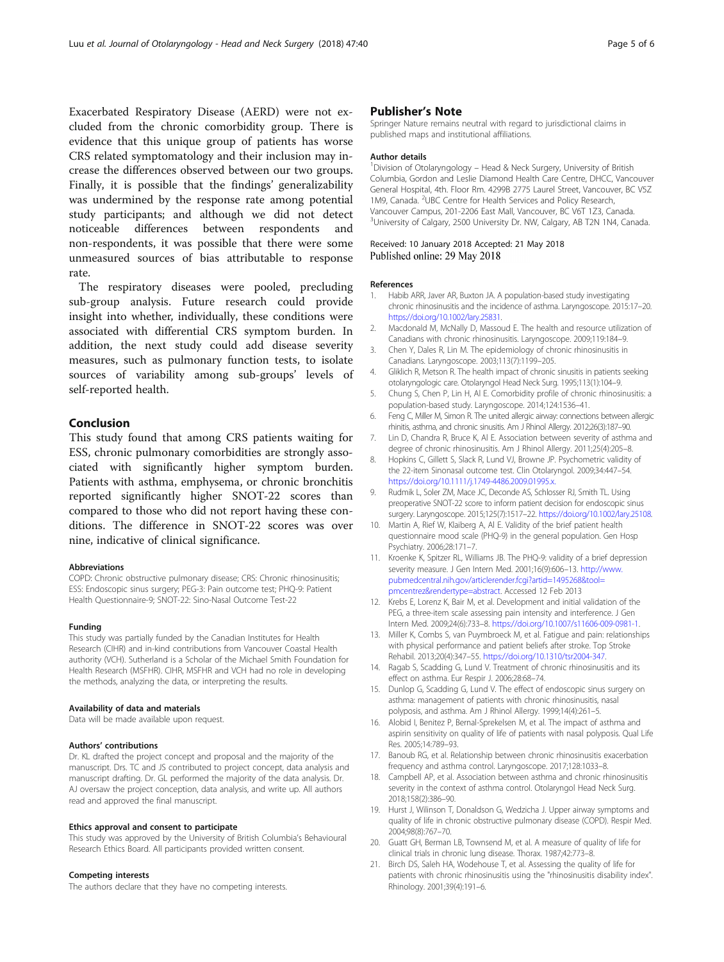<span id="page-4-0"></span>Exacerbated Respiratory Disease (AERD) were not excluded from the chronic comorbidity group. There is evidence that this unique group of patients has worse CRS related symptomatology and their inclusion may increase the differences observed between our two groups. Finally, it is possible that the findings' generalizability was undermined by the response rate among potential study participants; and although we did not detect noticeable differences between respondents and non-respondents, it was possible that there were some unmeasured sources of bias attributable to response rate.

The respiratory diseases were pooled, precluding sub-group analysis. Future research could provide insight into whether, individually, these conditions were associated with differential CRS symptom burden. In addition, the next study could add disease severity measures, such as pulmonary function tests, to isolate sources of variability among sub-groups' levels of self-reported health.

## Conclusion

This study found that among CRS patients waiting for ESS, chronic pulmonary comorbidities are strongly associated with significantly higher symptom burden. Patients with asthma, emphysema, or chronic bronchitis reported significantly higher SNOT-22 scores than compared to those who did not report having these conditions. The difference in SNOT-22 scores was over nine, indicative of clinical significance.

#### Abbreviations

COPD: Chronic obstructive pulmonary disease; CRS: Chronic rhinosinusitis; ESS: Endoscopic sinus surgery; PEG-3: Pain outcome test; PHQ-9: Patient Health Questionnaire-9; SNOT-22: Sino-Nasal Outcome Test-22

#### Funding

This study was partially funded by the Canadian Institutes for Health Research (CIHR) and in-kind contributions from Vancouver Coastal Health authority (VCH). Sutherland is a Scholar of the Michael Smith Foundation for Health Research (MSFHR). CIHR, MSFHR and VCH had no role in developing the methods, analyzing the data, or interpreting the results.

#### Availability of data and materials

Data will be made available upon request.

#### Authors' contributions

Dr. KL drafted the project concept and proposal and the majority of the manuscript. Drs. TC and JS contributed to project concept, data analysis and manuscript drafting. Dr. GL performed the majority of the data analysis. Dr. AJ oversaw the project conception, data analysis, and write up. All authors read and approved the final manuscript.

#### Ethics approval and consent to participate

This study was approved by the University of British Columbia's Behavioural Research Ethics Board. All participants provided written consent.

#### Competing interests

The authors declare that they have no competing interests.

#### Publisher's Note

Springer Nature remains neutral with regard to jurisdictional claims in published maps and institutional affiliations.

#### Author details

<sup>1</sup> Division of Otolaryngology - Head & Neck Surgery, University of British Columbia, Gordon and Leslie Diamond Health Care Centre, DHCC, Vancouver General Hospital, 4th. Floor Rm. 4299B 2775 Laurel Street, Vancouver, BC V5Z 1M9, Canada. <sup>2</sup>UBC Centre for Health Services and Policy Research, Vancouver Campus, 201-2206 East Mall, Vancouver, BC V6T 1Z3, Canada. <sup>3</sup>University of Calgary, 2500 University Dr. NW, Calgary, AB T2N 1N4, Canada

#### Received: 10 January 2018 Accepted: 21 May 2018 Published online: 29 May 2018

#### References

- 1. Habib ARR, Javer AR, Buxton JA. A population-based study investigating chronic rhinosinusitis and the incidence of asthma. Laryngoscope. 2015:17–20. [https://doi.org/10.1002/lary.25831.](https://doi.org/10.1002/lary.25831)
- 2. Macdonald M, McNally D, Massoud E. The health and resource utilization of Canadians with chronic rhinosinusitis. Laryngoscope. 2009;119:184–9.
- 3. Chen Y, Dales R, Lin M. The epidemiology of chronic rhinosinusitis in Canadians. Laryngoscope. 2003;113(7):1199–205.
- 4. Gliklich R, Metson R. The health impact of chronic sinusitis in patients seeking otolaryngologic care. Otolaryngol Head Neck Surg. 1995;113(1):104–9.
- 5. Chung S, Chen P, Lin H, Al E. Comorbidity profile of chronic rhinosinusitis: a population-based study. Laryngoscope. 2014;124:1536–41.
- 6. Feng C, Miller M, Simon R. The united allergic airway: connections between allergic rhinitis, asthma, and chronic sinusitis. Am J Rhinol Allergy. 2012;26(3):187–90.
- 7. Lin D, Chandra R, Bruce K, Al E. Association between severity of asthma and degree of chronic rhinosinusitis. Am J Rhinol Allergy. 2011;25(4):205–8.
- 8. Hopkins C, Gillett S, Slack R, Lund VJ, Browne JP. Psychometric validity of the 22-item Sinonasal outcome test. Clin Otolaryngol. 2009;34:447–54. <https://doi.org/10.1111/j.1749-4486.2009.01995.x.>
- 9. Rudmik L, Soler ZM, Mace JC, Deconde AS, Schlosser RJ, Smith TL. Using preoperative SNOT-22 score to inform patient decision for endoscopic sinus surgery. Laryngoscope. 2015;125(7):1517–22. [https://doi.org/10.1002/lary.25108.](https://doi.org/10.1002/lary.25108)
- 10. Martin A, Rief W, Klaiberg A, Al E. Validity of the brief patient health questionnaire mood scale (PHQ-9) in the general population. Gen Hosp Psychiatry. 2006;28:171–7.
- 11. Kroenke K, Spitzer RL, Williams JB. The PHQ-9: validity of a brief depression severity measure. J Gen Intern Med. 2001;16(9):606–13. [http://www.](http://www.pubmedcentral.nih.gov/articlerender.fcgi?artid=1495268&tool=pmcentrez&rendertype=abstract) [pubmedcentral.nih.gov/articlerender.fcgi?artid=1495268&tool=](http://www.pubmedcentral.nih.gov/articlerender.fcgi?artid=1495268&tool=pmcentrez&rendertype=abstract) [pmcentrez&rendertype=abstract.](http://www.pubmedcentral.nih.gov/articlerender.fcgi?artid=1495268&tool=pmcentrez&rendertype=abstract) Accessed 12 Feb 2013
- 12. Krebs E, Lorenz K, Bair M, et al. Development and initial validation of the PEG, a three-item scale assessing pain intensity and interference. J Gen Intern Med. 2009;24(6):733–8. [https://doi.org/10.1007/s11606-009-0981-1.](https://doi.org/10.1007/s11606-009-0981-1)
- 13. Miller K, Combs S, van Puymbroeck M, et al. Fatigue and pain: relationships with physical performance and patient beliefs after stroke. Top Stroke Rehabil. 2013;20(4):347–55. [https://doi.org/10.1310/tsr2004-347.](https://doi.org/10.1310/tsr2004-347)
- 14. Ragab S, Scadding G, Lund V. Treatment of chronic rhinosinusitis and its effect on asthma. Eur Respir J. 2006;28:68–74.
- 15. Dunlop G, Scadding G, Lund V. The effect of endoscopic sinus surgery on asthma: management of patients with chronic rhinosinusitis, nasal polyposis, and asthma. Am J Rhinol Allergy. 1999;14(4):261–5.
- 16. Alobid I, Benitez P, Bernal-Sprekelsen M, et al. The impact of asthma and aspirin sensitivity on quality of life of patients with nasal polyposis. Qual Life Res. 2005;14:789–93.
- 17. Banoub RG, et al. Relationship between chronic rhinosinusitis exacerbation frequency and asthma control. Laryngoscope. 2017;128:1033–8.
- 18. Campbell AP, et al. Association between asthma and chronic rhinosinusitis severity in the context of asthma control. Otolaryngol Head Neck Surg. 2018;158(2):386–90.
- 19. Hurst J, Wilinson T, Donaldson G, Wedzicha J. Upper airway symptoms and quality of life in chronic obstructive pulmonary disease (COPD). Respir Med. 2004;98(8):767–70.
- 20. Guatt GH, Berman LB, Townsend M, et al. A measure of quality of life for clinical trials in chronic lung disease. Thorax. 1987;42:773–8.
- 21. Birch DS, Saleh HA, Wodehouse T, et al. Assessing the quality of life for patients with chronic rhinosinusitis using the "rhinosinusitis disability index". Rhinology. 2001;39(4):191–6.